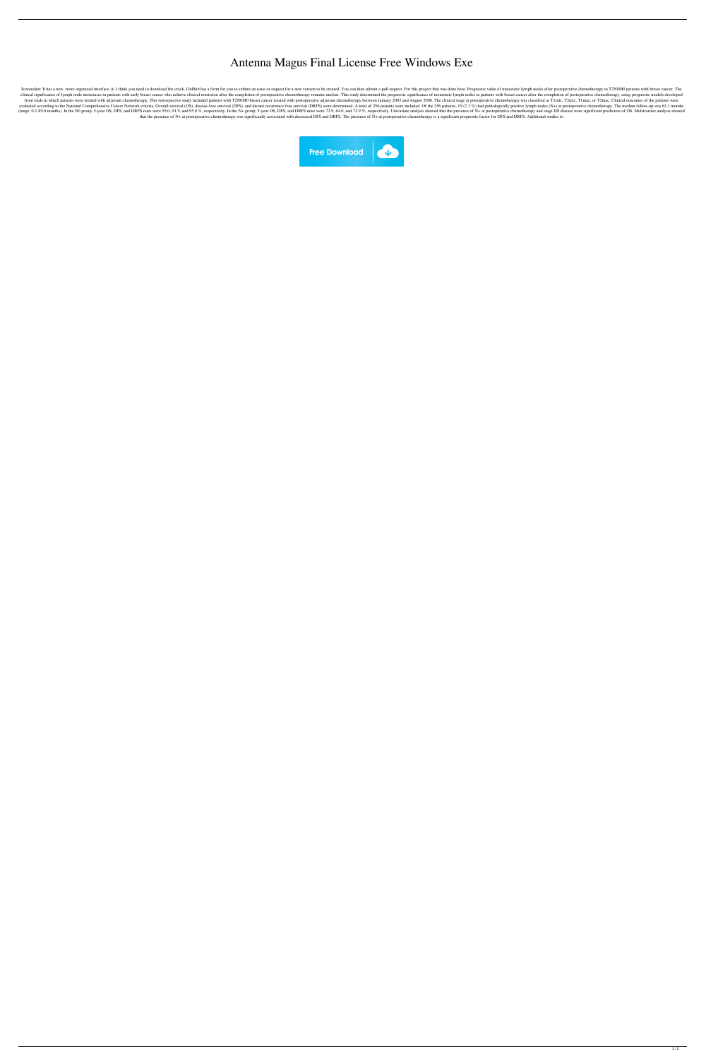## Antenna Magus Final License Free Windows Exe

Screenshot: It has a new, more organized interface A: I think you need to download the crack. GitHub has a form for you to submit an issue or request for a new version to be created. You can then submit a pull request. For clinical significance of lymph node metastases in patients with early breast cancer who achieve clinical remission after the completion of postoperative chemotherapy remains unclear. This study determined the prognostic si from trials in which patients were treated with adjuvant chemotherapy. This retrospective study included patients with T2N0M0 breast cancer treated with postoperative adjuvant chemotherapy between January 2003 and August 2 evaluated according to the National Comprehensive Cancer Network criteria. Overall survival (OS), disease-free survival (OFS), and distant recurrence-free survival (DRFS) were determined. A total of 256 patients were inclu (range, 0.2-89.0 months). In the NO group, 5-year OS, DFS, and DRFS rates were 95.0, 91.9, and 95.8 %, respectively. In the N+ group, 5-year OS, DFS, and DRFS rates were 72.9, 64.0, and 72.9 %, respectively. Univariate ana that the presence of N+ at postoperative chemotherapy was significantly associated with decreased DFS and DRFS. The presence of N+ at postoperative chemotherapy is a significant prognostic factor for DFS and DRFS. Addition